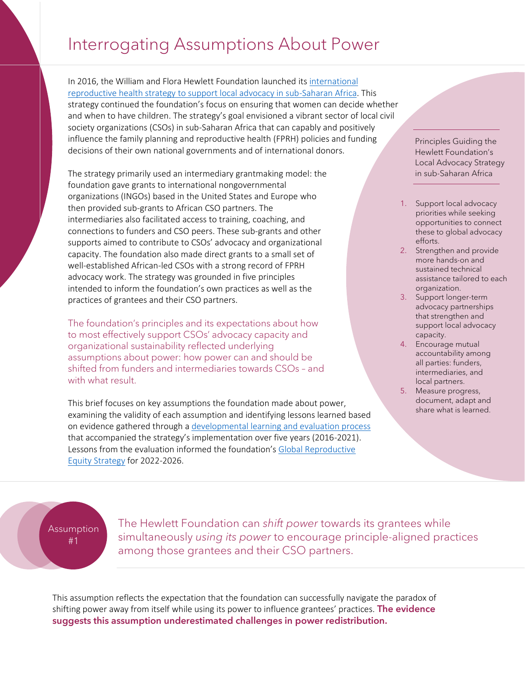## Interrogating Assumptions About Power

In 2016, the William and Flora Hewlett Foundation launched its [international](https://hewlett.org/wp-content/uploads/2016/11/Supporting-Local-Advocacy-in-Sub-Saharan-Africa.pdf)  [reproductive health strategy to support local advocacy in sub-Saharan Africa.](https://hewlett.org/wp-content/uploads/2016/11/Supporting-Local-Advocacy-in-Sub-Saharan-Africa.pdf) This strategy continued the foundation's focus on ensuring that women can decide whether and when to have children. The strategy's goal envisioned a vibrant sector of local civil society organizations (CSOs) in sub-Saharan Africa that can capably and positively influence the family planning and reproductive health (FPRH) policies and funding decisions of their own national governments and of international donors.

The strategy primarily used an intermediary grantmaking model: the foundation gave grants to international nongovernmental organizations (INGOs) based in the United States and Europe who then provided sub-grants to African CSO partners. The intermediaries also facilitated access to training, coaching, and connections to funders and CSO peers. These sub-grants and other supports aimed to contribute to CSOs' advocacy and organizational capacity. The foundation also made direct grants to a small set of well-established African-led CSOs with a strong record of FPRH advocacy work. The strategy was grounded in five principles intended to inform the foundation's own practices as well as the practices of grantees and their CSO partners.

The foundation's principles and its expectations about how to most effectively support CSOs' advocacy capacity and organizational sustainability reflected underlying assumptions about power: how power can and should be shifted from funders and intermediaries towards CSOs – and with what result.

This brief focuses on key assumptions the foundation made about power, examining the validity of each assumption and identifying lessons learned based on evidence gathered through [a developmental learning and evaluation process](https://hewlett.org/wp-content/uploads/2022/03/Global-Reproductive-Equity-Strategy-Evaluation-2022-English.pdf) that accompanied the strategy's implementation over five years (2016-2021). Lessons from the evaluation informed the foundation's [Global Reproductive](https://hewlett.org/wp-content/uploads/2021/09/Hewlett-Foundation-Global-Reproductive-Equity-Strategy-English.pdf)  [Equity Strategy](https://hewlett.org/wp-content/uploads/2021/09/Hewlett-Foundation-Global-Reproductive-Equity-Strategy-English.pdf) for 2022-2026.

Principles Guiding the Hewlett Foundation's Local Advocacy Strategy in sub-Saharan Africa

- 1. Support local advocacy priorities while seeking opportunities to connect these to global advocacy efforts.
- 2. Strengthen and provide more hands-on and sustained technical assistance tailored to each organization.
- 3. Support longer-term advocacy partnerships that strengthen and support local advocacy capacity.
- 4. Encourage mutual accountability among all parties: funders, intermediaries, and local partners.
- 5. Measure progress, document, adapt and share what is learned.

Assumption #1

The Hewlett Foundation can *shift power* towards its grantees while simultaneously *using its power* to encourage principle-aligned practices among those grantees and their CSO partners.

This assumption reflects the expectation that the foundation can successfully navigate the paradox of shifting power away from itself while using its power to influence grantees' practices. The evidence suggests this assumption underestimated challenges in power redistribution.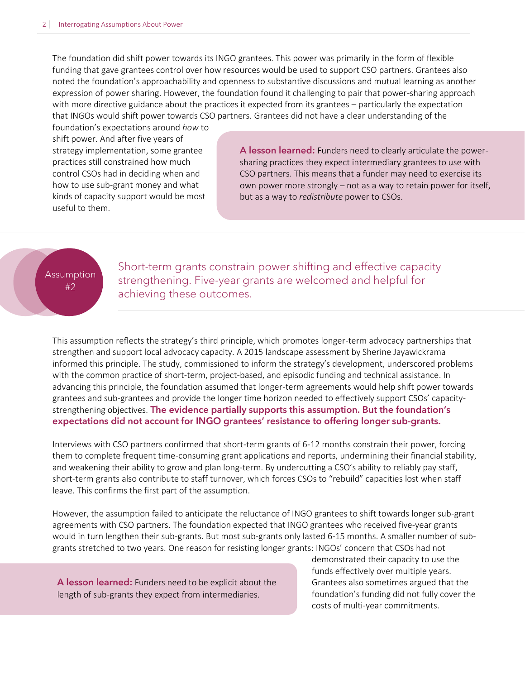The foundation did shift power towards its INGO grantees. This power was primarily in the form of flexible funding that gave grantees control over how resources would be used to support CSO partners. Grantees also noted the foundation's approachability and openness to substantive discussions and mutual learning as another expression of power sharing. However, the foundation found it challenging to pair that power-sharing approach with more directive guidance about the practices it expected from its grantees – particularly the expectation that INGOs would shift power towards CSO partners. Grantees did not have a clear understanding of the

foundation's expectations around *how* to shift power. And after five years of strategy implementation, some grantee practices still constrained how much control CSOs had in deciding when and how to use sub-grant money and what kinds of capacity support would be most useful to them.

A lesson learned: Funders need to clearly articulate the powersharing practices they expect intermediary grantees to use with CSO partners. This means that a funder may need to exercise its own power more strongly – not as a way to retain power for itself, but as a way to *redistribute* power to CSOs.

## **Assumption** #2

Short-term grants constrain power shifting and effective capacity strengthening. Five-year grants are welcomed and helpful for achieving these outcomes.

This assumption reflects the strategy's third principle, which promotes longer-term advocacy partnerships that strengthen and support local advocacy capacity. A 2015 landscape assessment by Sherine Jayawickrama informed this principle. The study, commissioned to inform the strategy's development, underscored problems with the common practice of short-term, project-based, and episodic funding and technical assistance. In advancing this principle, the foundation assumed that longer-term agreements would help shift power towards grantees and sub-grantees and provide the longer time horizon needed to effectively support CSOs' capacitystrengthening objectives. The evidence partially supports this assumption. But the foundation's expectations did not account for INGO grantees' resistance to offering longer sub-grants.

Interviews with CSO partners confirmed that short-term grants of 6-12 months constrain their power, forcing them to complete frequent time-consuming grant applications and reports, undermining their financial stability, and weakening their ability to grow and plan long-term. By undercutting a CSO's ability to reliably pay staff, short-term grants also contribute to staff turnover, which forces CSOs to "rebuild" capacities lost when staff leave. This confirms the first part of the assumption.

However, the assumption failed to anticipate the reluctance of INGO grantees to shift towards longer sub-grant agreements with CSO partners. The foundation expected that INGO grantees who received five-year grants would in turn lengthen their sub-grants. But most sub-grants only lasted 6-15 months. A smaller number of subgrants stretched to two years. One reason for resisting longer grants: INGOs' concern that CSOs had not

A lesson learned: Funders need to be explicit about the length of sub-grants they expect from intermediaries.

demonstrated their capacity to use the funds effectively over multiple years. Grantees also sometimes argued that the foundation's funding did not fully cover the costs of multi-year commitments.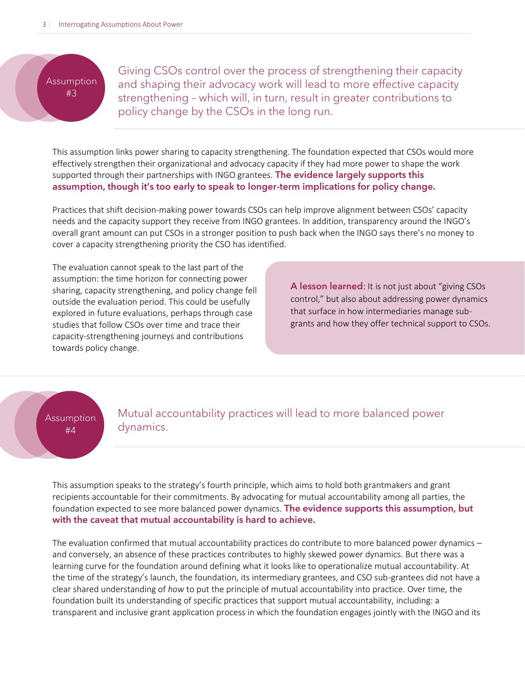Assumption #3

Giving CSOs control over the process of strengthening their capacity and shaping their advocacy work will lead to more effective capacity strengthening – which will, in turn, result in greater contributions to policy change by the CSOs in the long run.

This assumption links power sharing to capacity strengthening. The foundation expected that CSOs would more effectively strengthen their organizational and advocacy capacity if they had more power to shape the work supported through their partnerships with INGO grantees. The evidence largely supports this assumption, though it's too early to speak to longer-term implications for policy change.

Practices that shift decision-making power towards CSOs can help improve alignment between CSOs' capacity needs and the capacity support they receive from INGO grantees. In addition, transparency around the INGO's overall grant amount can put CSOs in a stronger position to push back when the INGO says there's no money to cover a capacity strengthening priority the CSO has identified.

The evaluation cannot speak to the last part of the assumption: the time horizon for connecting power sharing, capacity strengthening, and policy change fell outside the evaluation period. This could be usefully explored in future evaluations, perhaps through case studies that follow CSOs over time and trace their capacity-strengthening journeys and contributions towards policy change.

A lesson learned: It is not just about "giving CSOs control," but also about addressing power dynamics that surface in how intermediaries manage subgrants and how they offer technical support to CSOs.

Assumption #4

Mutual accountability practices will lead to more balanced power dynamics.

This assumption speaks to the strategy's fourth principle, which aims to hold both grantmakers and grant recipients accountable for their commitments. By advocating for mutual accountability among all parties, the foundation expected to see more balanced power dynamics. The evidence supports this assumption, but with the caveat that mutual accountability is hard to achieve.

The evaluation confirmed that mutual accountability practices do contribute to more balanced power dynamics – and conversely, an absence of these practices contributes to highly skewed power dynamics. But there was a learning curve for the foundation around defining what it looks like to operationalize mutual accountability. At the time of the strategy's launch, the foundation, its intermediary grantees, and CSO sub-grantees did not have a clear shared understanding of *how* to put the principle of mutual accountability into practice. Over time, the foundation built its understanding of specific practices that support mutual accountability, including: a transparent and inclusive grant application process in which the foundation engages jointly with the INGO and its